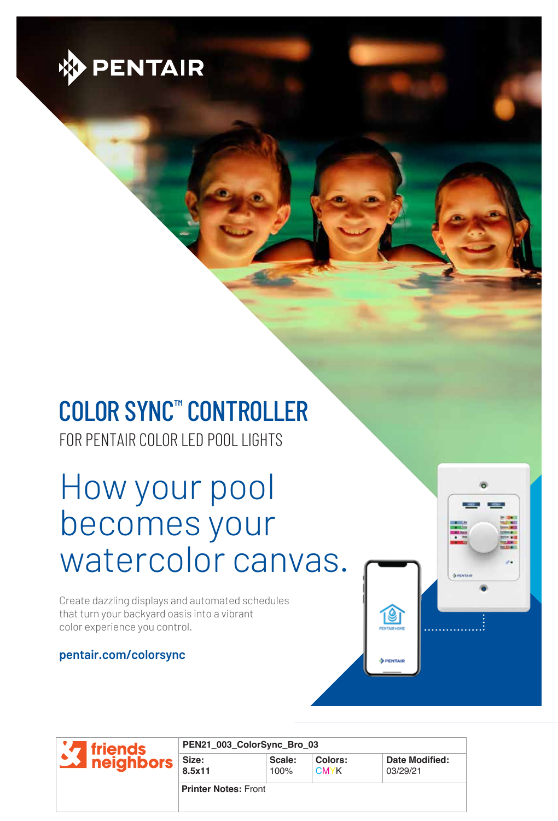

# COLOR SYNC™ CONTROLLER

FOR PENTAIR COLOR LED POOL LIGHTS

How your pool becomes your watercolor canvas.

Create dazzling displays and automated schedules that turn your backyard oasis into a vibrant color experience you control.

#### **pentair.com/colorsync**

Ie